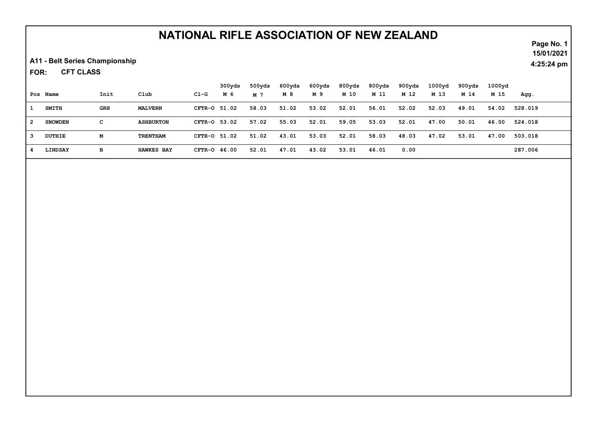A11 - Belt Series Championship

CFT CLASS FOR:

|                         | Pos Name       | Init | Club              | C1-G           | 300yds<br>M 6 | 500yds<br>M 7 | 600yds<br>M 8 | 600yds<br>M 9 | 800yds<br>M 10 | 800yds<br>M 11 | 900yds<br>M 12 | 1000 <sub>yd</sub><br>M 13 | 900yds<br>M 14 | 1000yd<br>M 15 | Agg.    |
|-------------------------|----------------|------|-------------------|----------------|---------------|---------------|---------------|---------------|----------------|----------------|----------------|----------------------------|----------------|----------------|---------|
|                         |                |      |                   |                |               |               |               |               |                |                |                |                            |                |                |         |
|                         | <b>SMITH</b>   | GRH  | <b>MALVERN</b>    | CFTR-0 51.02   |               | 58.03         | 51.02         | 53.02         | 52.01          | 56.01          | 52.02          | 52.03                      | 49.01          | 54.02          | 528.019 |
| $\overline{\mathbf{2}}$ | <b>SNOWDEN</b> | с    | <b>ASHBURTON</b>  | CFTR-0 53.02   |               | 57.02         | 55.03         | 52.01         | 59.05          | 53.03          | 52.01          | 47.00                      | 50.01          | 46.00          | 524.018 |
| -3                      | DUTHIE         | М    | TRENTHAM          | CFTR-0 51.02   |               | 51.02         | 43.01         | 53.03         | 52.01          | 58.03          | 48.03          | 47.02                      | 53.01          | 47.00          | 503.018 |
|                         | LINDSAY        | в    | <b>HAWKES BAY</b> | $CFTR-O$ 46.00 |               | 52.01         | 47.01         | 43.02         | 53.01          | 46.01          | 0.00           |                            |                |                | 287.006 |

Page No. 1 15/01/2021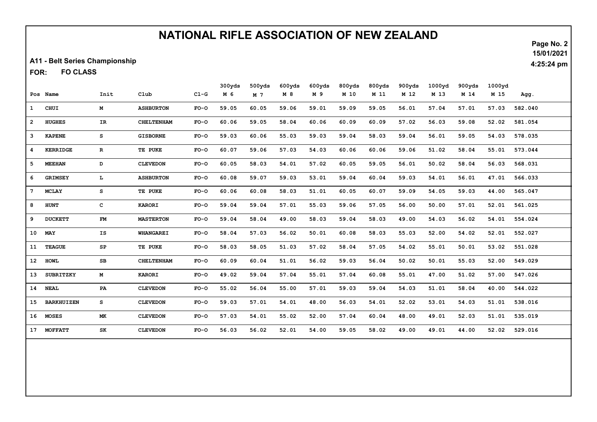A11 - Belt Series Championship

FO CLASS FOR:

| Page No. 2 |
|------------|
| 15/01/2021 |

|                 |                   |               |                  |        | 300yds | 500yds | 600yds | 600yds | 800yds | 800yds | 900yds | 1000yd | 900yds | 1000yd |         |
|-----------------|-------------------|---------------|------------------|--------|--------|--------|--------|--------|--------|--------|--------|--------|--------|--------|---------|
|                 | Pos Name          | Init          | Club             | $C1-G$ | M 6    | M 7    | M 8    | M 9    | M 10   | M 11   | M 12   | M 13   | M 14   | M 15   | Agg.    |
| $\mathbf{1}$    | <b>CHUI</b>       | M             | <b>ASHBURTON</b> | $FO-O$ | 59.05  | 60.05  | 59.06  | 59.01  | 59.09  | 59.05  | 56.01  | 57.04  | 57.01  | 57.03  | 582.040 |
| $\overline{2}$  | <b>HUGHES</b>     | IR            | CHELTENHAM       | $FO-O$ | 60.06  | 59.05  | 58.04  | 60.06  | 60.09  | 60.09  | 57.02  | 56.03  | 59.08  | 52.02  | 581.054 |
| $\mathbf{3}$    | <b>KAPENE</b>     | s             | <b>GISBORNE</b>  | $FO-O$ | 59.03  | 60.06  | 55.03  | 59.03  | 59.04  | 58.03  | 59.04  | 56.01  | 59.05  | 54.03  | 578.035 |
| 4               | <b>KERRIDGE</b>   | $\mathbf R$   | TE PUKE          | $FO-O$ | 60.07  | 59.06  | 57.03  | 54.03  | 60.06  | 60.06  | 59.06  | 51.02  | 58.04  | 55.01  | 573.044 |
| 5               | <b>MEEHAN</b>     | D             | <b>CLEVEDON</b>  | $FO-O$ | 60.05  | 58.03  | 54.01  | 57.02  | 60.05  | 59.05  | 56.01  | 50.02  | 58.04  | 56.03  | 568.031 |
| 6               | <b>GRIMSEY</b>    | L             | <b>ASHBURTON</b> | $FO-O$ | 60.08  | 59.07  | 59.03  | 53.01  | 59.04  | 60.04  | 59.03  | 54.01  | 56.01  | 47.01  | 566.033 |
| $7\overline{ }$ | <b>MCLAY</b>      | s             | TE PUKE          | $FO-O$ | 60.06  | 60.08  | 58.03  | 51.01  | 60.05  | 60.07  | 59.09  | 54.05  | 59.03  | 44.00  | 565.047 |
| 8               | <b>HUNT</b>       | c             | <b>KARORI</b>    | $FO-O$ | 59.04  | 59.04  | 57.01  | 55.03  | 59.06  | 57.05  | 56.00  | 50.00  | 57.01  | 52.01  | 561.025 |
| 9               | <b>DUCKETT</b>    | $\mathbf{FM}$ | <b>MASTERTON</b> | $FO-O$ | 59.04  | 58.04  | 49.00  | 58.03  | 59.04  | 58.03  | 49.00  | 54.03  | 56.02  | 54.01  | 554.024 |
| 10              | MAY               | IS            | WHANGAREI        | $FO-O$ | 58.04  | 57.03  | 56.02  | 50.01  | 60.08  | 58.03  | 55.03  | 52.00  | 54.02  | 52.01  | 552.027 |
| 11              | <b>TEAGUE</b>     | SP            | TE PUKE          | $FO-O$ | 58.03  | 58.05  | 51.03  | 57.02  | 58.04  | 57.05  | 54.02  | 55.01  | 50.01  | 53.02  | 551.028 |
| 12 <sub>2</sub> | <b>HOWL</b>       | $_{\rm SB}$   | CHELTENHAM       | $FO-O$ | 60.09  | 60.04  | 51.01  | 56.02  | 59.03  | 56.04  | 50.02  | 50.01  | 55.03  | 52.00  | 549.029 |
| 13              | <b>SUBRITZKY</b>  | M             | <b>KARORI</b>    | $FO-O$ | 49.02  | 59.04  | 57.04  | 55.01  | 57.04  | 60.08  | 55.01  | 47.00  | 51.02  | 57.00  | 547.026 |
| 14              | <b>NEAL</b>       | PA            | <b>CLEVEDON</b>  | $FO-O$ | 55.02  | 56.04  | 55.00  | 57.01  | 59.03  | 59.04  | 54.03  | 51.01  | 58.04  | 40.00  | 544.022 |
| 15 <sub>1</sub> | <b>BARKHUIZEN</b> | s             | <b>CLEVEDON</b>  | $FO-O$ | 59.03  | 57.01  | 54.01  | 48.00  | 56.03  | 54.01  | 52.02  | 53.01  | 54.03  | 51.01  | 538.016 |
| 16              | <b>MOSES</b>      | МK            | <b>CLEVEDON</b>  | $FO-O$ | 57.03  | 54.01  | 55.02  | 52.00  | 57.04  | 60.04  | 48.00  | 49.01  | 52.03  | 51.01  | 535.019 |
| 17              | <b>MOFFATT</b>    | SK            | <b>CLEVEDON</b>  | $FO-O$ | 56.03  | 56.02  | 52.01  | 54.00  | 59.05  | 58.02  | 49.00  | 49.01  | 44.00  | 52.02  | 529.016 |
|                 |                   |               |                  |        |        |        |        |        |        |        |        |        |        |        |         |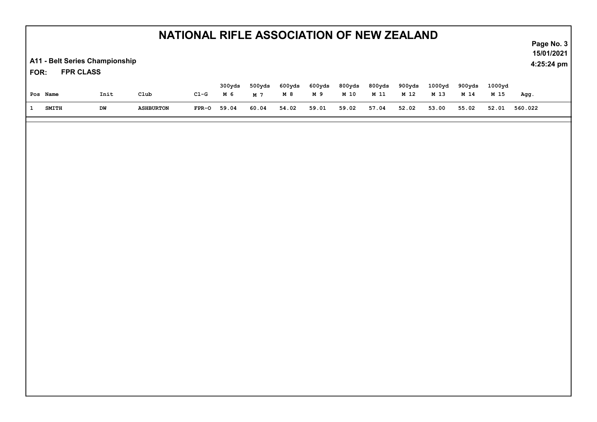A11 - Belt Series Championship

FPR CLASS FOR:

| Pos Name     | Init | Club             | $C1-G$  | 300 <sub>vds</sub><br>M 6 | 500yds<br>M 7 | 600yds<br>M 8 | 600yds<br>M 9 | 800yds<br>M 10 | 800yds<br>M 11 | 900yds<br>M 12 | 1000vd<br>M 13 | 900 <sub>vds</sub><br>M 14 | 1000 <del>v</del> d<br>M 15 | Agg.    |
|--------------|------|------------------|---------|---------------------------|---------------|---------------|---------------|----------------|----------------|----------------|----------------|----------------------------|-----------------------------|---------|
| <b>SMITH</b> | DW   | <b>ASHBURTON</b> | $FPR-O$ | 59.04                     | 60.04         | 54.02         | 59.01         | 59.02          | 57.04          | 52.02          | 53.00          | 55.02                      | 52.01                       | 560.022 |

Page No. 3 15/01/2021